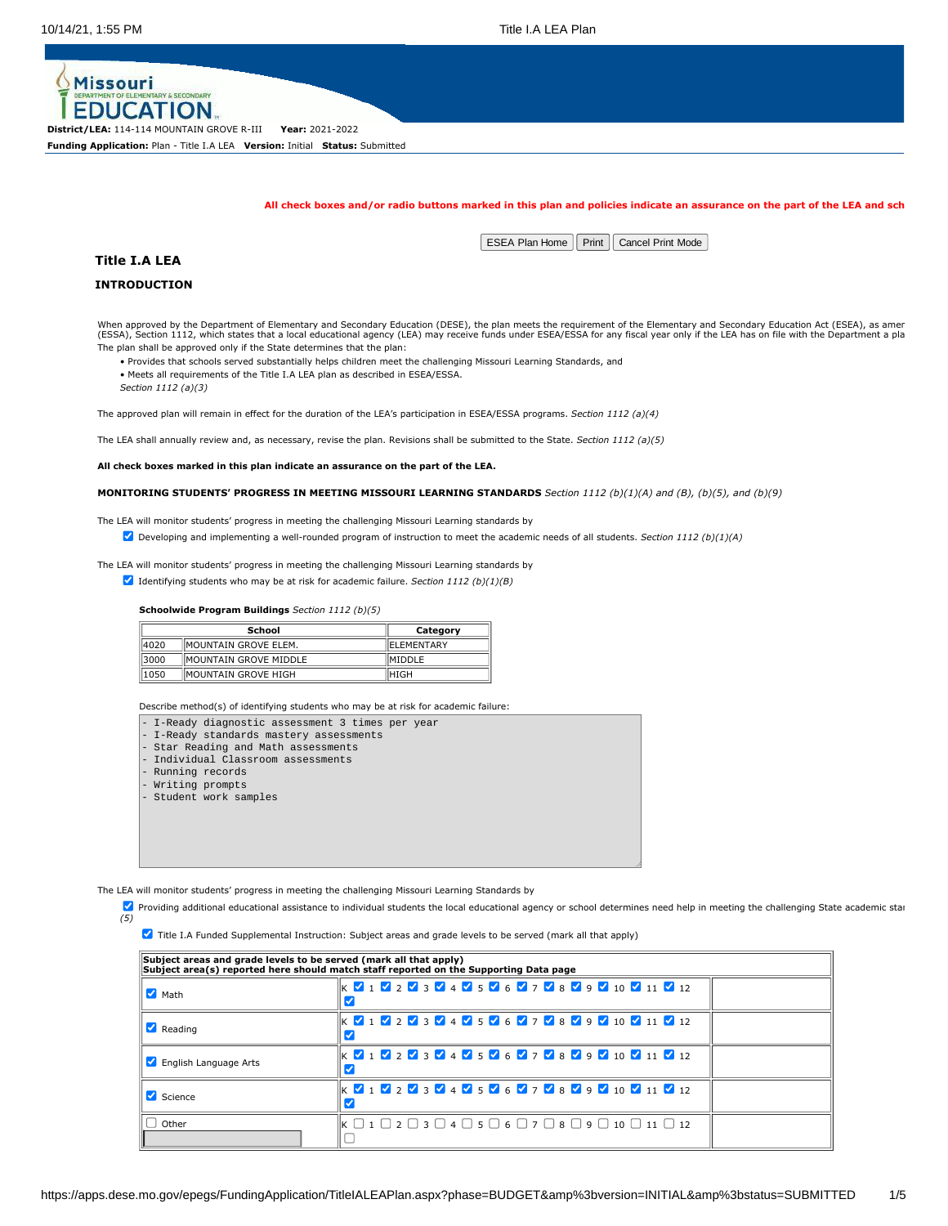

**District/LEA:** 114-114 MOUNTAIN GROVE R-III **Year:** 2021-2022 **Funding Application:** Plan - Title I.A LEA **Version:** Initial **Status:** Submitted

**All check boxes and/or radio buttons marked in this plan and policies indicate an assurance on the part of the LEA and sch**

 $\mid$  ESEA Plan Home  $\mid\mid$  Print  $\mid\mid$  Cancel Print Mode

**Title I.A LEA**

# **INTRODUCTION**

When approved by the Department of Elementary and Secondary Education (DESE), the plan meets the requirement of the Elementary and Secondary Education Act (ESEA), as amer<br>(ESSA), Section 1112, which states that a local edu The plan shall be approved only if the State determines that the plan:

• Provides that schools served substantially helps children meet the challenging Missouri Learning Standards, and

• Meets all requirements of the Title I.A LEA plan as described in ESEA/ESSA.

*Section 1112 (a)(3)*

The approved plan will remain in effect for the duration of the LEA's participation in ESEA/ESSA programs. *Section 1112 (a)(4)*

The LEA shall annually review and, as necessary, revise the plan. Revisions shall be submitted to the State. *Section 1112 (a)(5)*

**All check boxes marked in this plan indicate an assurance on the part of the LEA.**

**MONITORING STUDENTS' PROGRESS IN MEETING MISSOURI LEARNING STANDARDS** *Section 1112 (b)(1)(A) and (B), (b)(5), and (b)(9)*

The LEA will monitor students' progress in meeting the challenging Missouri Learning standards by

Developing and implementing a well-rounded program of instruction to meet the academic needs of all students. *Section 1112 (b)(1)(A)*

The LEA will monitor students' progress in meeting the challenging Missouri Learning standards by

Identifying students who may be at risk for academic failure. *Section 1112 (b)(1)(B)*

### **Schoolwide Program Buildings** *Section 1112 (b)(5)*

| <b>School</b> |                        | Category       |
|---------------|------------------------|----------------|
| 14020         | IMOUNTAIN GROVE ELEM.  | IELEMENTARY    |
| 13000         | IMOUNTAIN GROVE MIDDLE | <b>IMIDDLE</b> |
| 1050          | IMOUNTAIN GROVE HIGH   | IHIGH          |

Describe method(s) of identifying students who may be at risk for academic failure:

| - I-Ready diagnostic assessment 3 times per year |
|--------------------------------------------------|
| - I-Ready standards mastery assessments          |
| - Star Reading and Math assessments              |
| - Individual Classroom assessments               |
| - Running records                                |
| - Writing prompts                                |
| - Student work samples                           |
|                                                  |
|                                                  |
|                                                  |
|                                                  |
|                                                  |

The LEA will monitor students' progress in meeting the challenging Missouri Learning Standards by

**Z** Providing additional educational assistance to individual students the local educational agency or school determines need help in meeting the challenging State academic star *(5)*

**7** Title I.A Funded Supplemental Instruction: Subject areas and grade levels to be served (mark all that apply)

| Subject areas and grade levels to be served (mark all that apply)<br>Subject area(s) reported here should match staff reported on the Supporting Data page |                                                                                                                                                                                                                                                                 |  |  |  |  |  |
|------------------------------------------------------------------------------------------------------------------------------------------------------------|-----------------------------------------------------------------------------------------------------------------------------------------------------------------------------------------------------------------------------------------------------------------|--|--|--|--|--|
| $\blacksquare$ Math                                                                                                                                        | $\mathbb{K}$ $\mathbb{V}$ 1 $\mathbb{V}$ 2 $\mathbb{V}$ 3 $\mathbb{V}$ 4 $\mathbb{V}$ 5 $\mathbb{V}$ 6 $\mathbb{V}$ 7 $\mathbb{V}$ 8 $\mathbb{V}$ 9 $\mathbb{V}$ 10 $\mathbb{V}$ 11 $\mathbb{V}$ 12                                                             |  |  |  |  |  |
| $\blacksquare$ Reading                                                                                                                                     | $\mathbb{K}$ $\mathbb{Z}$ 1 $\mathbb{Z}$ 2 $\mathbb{Z}$ 3 $\mathbb{Z}$ 4 $\mathbb{Z}$ 5 $\mathbb{Z}$ 6 $\mathbb{Z}$ 7 $\mathbb{Z}$ 8 $\mathbb{Z}$ 9 $\mathbb{Z}$ 10 $\mathbb{Z}$ 11 $\mathbb{Z}$ 12                                                             |  |  |  |  |  |
| English Language Arts                                                                                                                                      | $\mathbb{K}$ $\mathbb{V}$ 1 $\mathbb{V}$ 2 $\mathbb{V}$ 3 $\mathbb{V}$ 4 $\mathbb{V}$ 5 $\mathbb{V}$ 6 $\mathbb{V}$ 7 $\mathbb{V}$ 8 $\mathbb{V}$ 9 $\mathbb{V}$ 10 $\mathbb{V}$ 11 $\mathbb{V}$ 12                                                             |  |  |  |  |  |
| Science                                                                                                                                                    | K V 1 V 2 V 3 V 4 V 5 V 6 V 7 V 8 V 9 V 10 V 11 V 12                                                                                                                                                                                                            |  |  |  |  |  |
| Other                                                                                                                                                      | $\mathsf{K} \mathrel{\square} 1 \mathrel{\square} 2 \mathrel{\square} 3 \mathrel{\square} 4 \mathrel{\square} 5 \mathrel{\square} 6 \mathrel{\square} 7 \mathrel{\square} 8 \mathrel{\square} 9 \mathrel{\square} 10 \mathrel{\square} 11 \mathrel{\square} 12$ |  |  |  |  |  |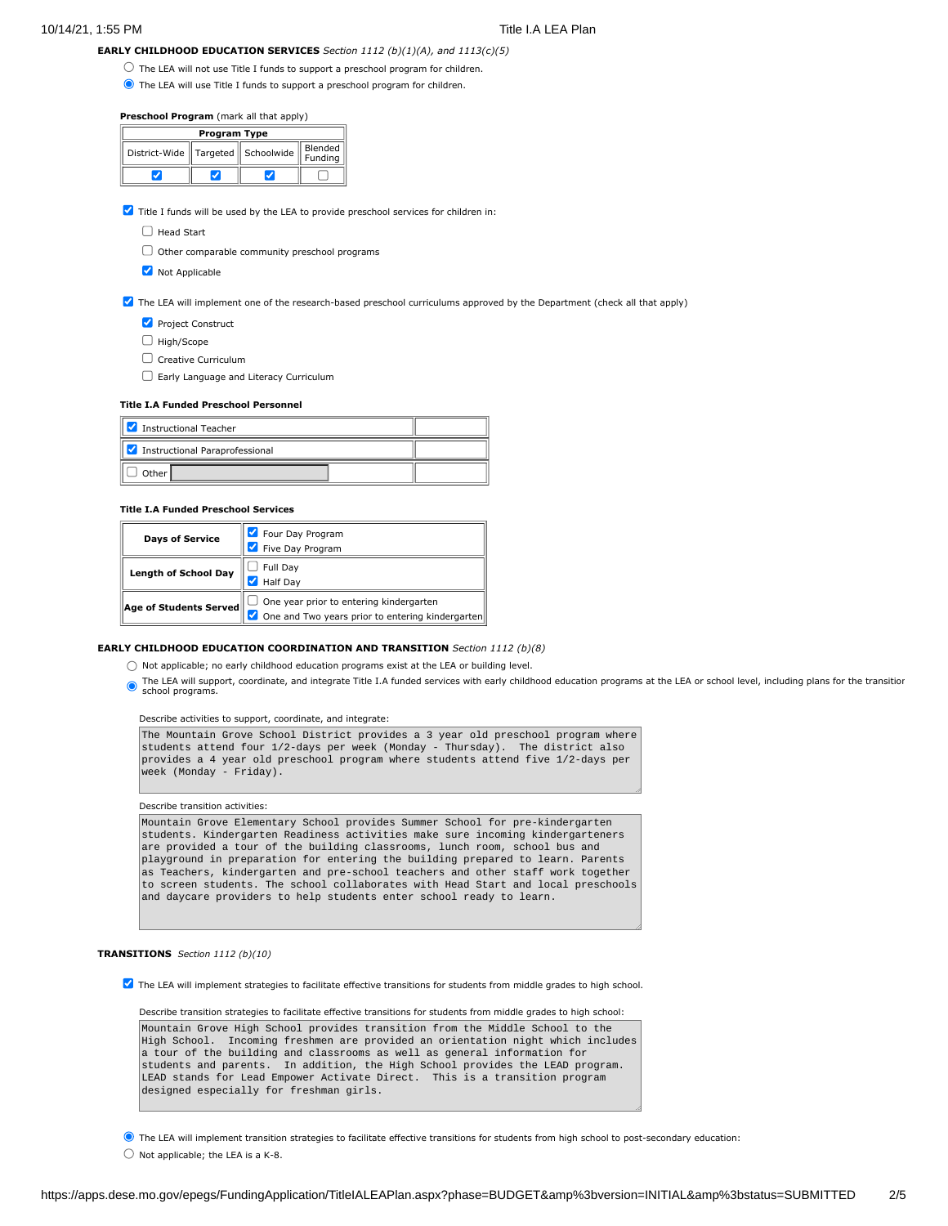**EARLY CHILDHOOD EDUCATION SERVICES** *Section 1112 (b)(1)(A), and 1113(c)(5)*

- $\bigcirc$  The LEA will not use Title I funds to support a preschool program for children.
- The LEA will use Title I funds to support a preschool program for children.

### **Preschool Program** (mark all that apply)

| <b>Program Type</b>                   |  |  |                    |  |  |
|---------------------------------------|--|--|--------------------|--|--|
| District-Wide   Targeted   Schoolwide |  |  | Blended<br>Funding |  |  |
|                                       |  |  |                    |  |  |

 $\blacktriangledown$  Title I funds will be used by the LEA to provide preschool services for children in:

- $\Box$  Head Start
- $\Box$  Other comparable community preschool programs
- **V** Not Applicable

# The LEA will implement one of the research-based preschool curriculums approved by the Department (check all that apply)

- Project Construct
- $\Box$  High/Scope
- $\Box$  Creative Curriculum
- Early Language and Literacy Curriculum

#### **Title I.A Funded Preschool Personnel**

| է<br>Instructional Teacher     |  |
|--------------------------------|--|
| Instructional Paraprofessional |  |
| Other I                        |  |

### **Title I.A Funded Preschool Services**

| <b>Days of Service</b>      | Four Day Program                                 |
|-----------------------------|--------------------------------------------------|
|                             | Five Day Program                                 |
| <b>Length of School Day</b> | Full Day                                         |
|                             | <b>Half Day</b>                                  |
| Age of Students Served      | One year prior to entering kindergarten          |
|                             | One and Two years prior to entering kindergarten |

#### **EARLY CHILDHOOD EDUCATION COORDINATION AND TRANSITION** *Section 1112 (b)(8)*

 $\bigcirc$  Not applicable; no early childhood education programs exist at the LEA or building level.

The LEA will support, coordinate, and integrate Title I.A funded services with early childhood education programs at the LEA or school level, including plans for the transition school programs.

#### Describe activities to support, coordinate, and integrate:

The Mountain Grove School District provides a 3 year old preschool program where students attend four 1/2-days per week (Monday - Thursday). The district also provides a 4 year old preschool program where students attend five 1/2-days per week (Monday - Friday).

### Describe transition activities:

Mountain Grove Elementary School provides Summer School for pre-kindergarten students. Kindergarten Readiness activities make sure incoming kindergarteners are provided a tour of the building classrooms, lunch room, school bus and playground in preparation for entering the building prepared to learn. Parents as Teachers, kindergarten and pre-school teachers and other staff work together to screen students. The school collaborates with Head Start and local preschools and daycare providers to help students enter school ready to learn.

## **TRANSITIONS** *Section 1112 (b)(10)*

The LEA will implement strategies to facilitate effective transitions for students from middle grades to high school.

Describe transition strategies to facilitate effective transitions for students from middle grades to high school: Mountain Grove High School provides transition from the Middle School to the High School. Incoming freshmen are provided an orientation night which includes a tour of the building and classrooms as well as general information for students and parents. In addition, the High School provides the LEAD program. LEAD stands for Lead Empower Activate Direct. This is a transition program designed especially for freshman girls.

The LEA will implement transition strategies to facilitate effective transitions for students from high school to post-secondary education:

 $\bigcirc$  Not applicable; the LEA is a K-8.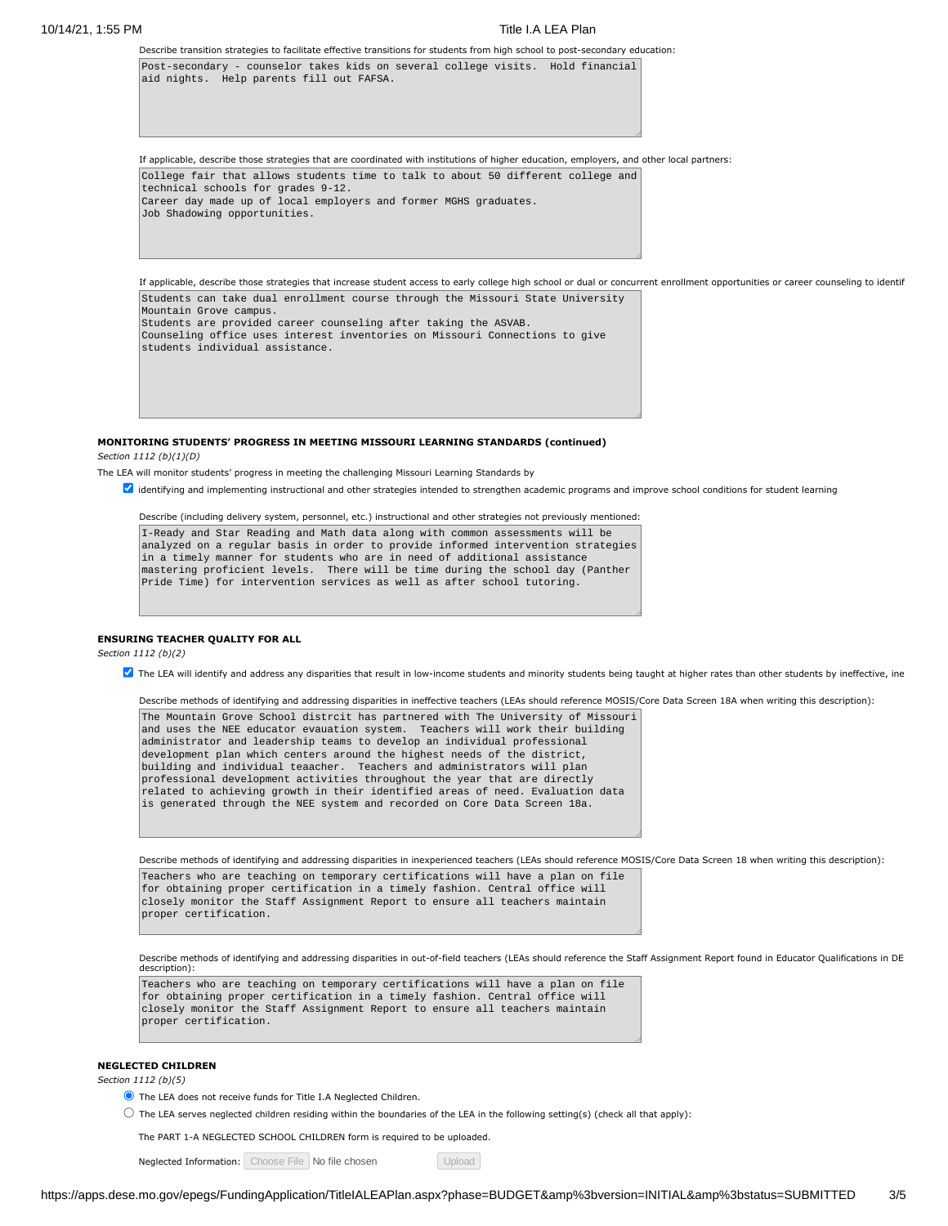#### 10/14/21, 1:55 PM Title I.A LEA Plan

Describe transition strategies to facilitate effective transitions for students from high school to post-secondary education: Post-secondary - counselor takes kids on several college visits. Hold financial aid nights. Help parents fill out FAFSA.

If applicable, describe those strategies that are coordinated with institutions of higher education, employers, and other local partners: College fair that allows students time to talk to about 50 different college and technical schools for grades 9-12. Career day made up of local employers and former MGHS graduates. Job Shadowing opportunities.

If applicable, describe those strategies that increase student access to early college high school or dual or concurrent enrollment opportunities or career counseling to identif Students can take dual enrollment course through the Missouri State University

Mountain Grove campus. Students are provided career counseling after taking the ASVAB. Counseling office uses interest inventories on Missouri Connections to give students individual assistance.

**MONITORING STUDENTS' PROGRESS IN MEETING MISSOURI LEARNING STANDARDS (continued)** *Section 1112 (b)(1)(D)*

The LEA will monitor students' progress in meeting the challenging Missouri Learning Standards by

 $\blacksquare$  identifying and implementing instructional and other strategies intended to strengthen academic programs and improve school conditions for student learning

Describe (including delivery system, personnel, etc.) instructional and other strategies not previously mentioned:

I-Ready and Star Reading and Math data along with common assessments will be analyzed on a regular basis in order to provide informed intervention strategies in a timely manner for students who are in need of additional assistance mastering proficient levels. There will be time during the school day (Panther Pride Time) for intervention services as well as after school tutoring.

# **ENSURING TEACHER QUALITY FOR ALL**

*Section 1112 (b)(2)*

 $\blacksquare$  The LEA will identify and address any disparities that result in low-income students and minority students being taught at higher rates than other students by ineffective, ine

Describe methods of identifying and addressing disparities in ineffective teachers (LEAs should reference MOSIS/Core Data Screen 18A when writing this description):

The Mountain Grove School distrcit has partnered with The University of Missouri and uses the NEE educator evauation system. Teachers will work their building administrator and leadership teams to develop an individual professional development plan which centers around the highest needs of the district, building and individual teaacher. Teachers and administrators will plan professional development activities throughout the year that are directly related to achieving growth in their identified areas of need. Evaluation data is generated through the NEE system and recorded on Core Data Screen 18a.

Describe methods of identifying and addressing disparities in inexperienced teachers (LEAs should reference MOSIS/Core Data Screen 18 when writing this description):

Teachers who are teaching on temporary certifications will have a plan on file for obtaining proper certification in a timely fashion. Central office will closely monitor the Staff Assignment Report to ensure all teachers maintain proper certification.

Describe methods of identifying and addressing disparities in out-of-field teachers (LEAs should reference the Staff Assignment Report found in Educator Qualifications in DE description):

Teachers who are teaching on temporary certifications will have a plan on file for obtaining proper certification in a timely fashion. Central office will closely monitor the Staff Assignment Report to ensure all teachers maintain proper certification.

## **NEGLECTED CHILDREN**

*Section 1112 (b)(5)*

- The LEA does not receive funds for Title I.A Neglected Children.
- $\circlearrowright$  The LEA serves neglected children residing within the boundaries of the LEA in the following setting(s) (check all that apply):

The PART 1-A NEGLECTED SCHOOL CHILDREN form is required to be uploaded.

Neglected Information: Choose File No file chosen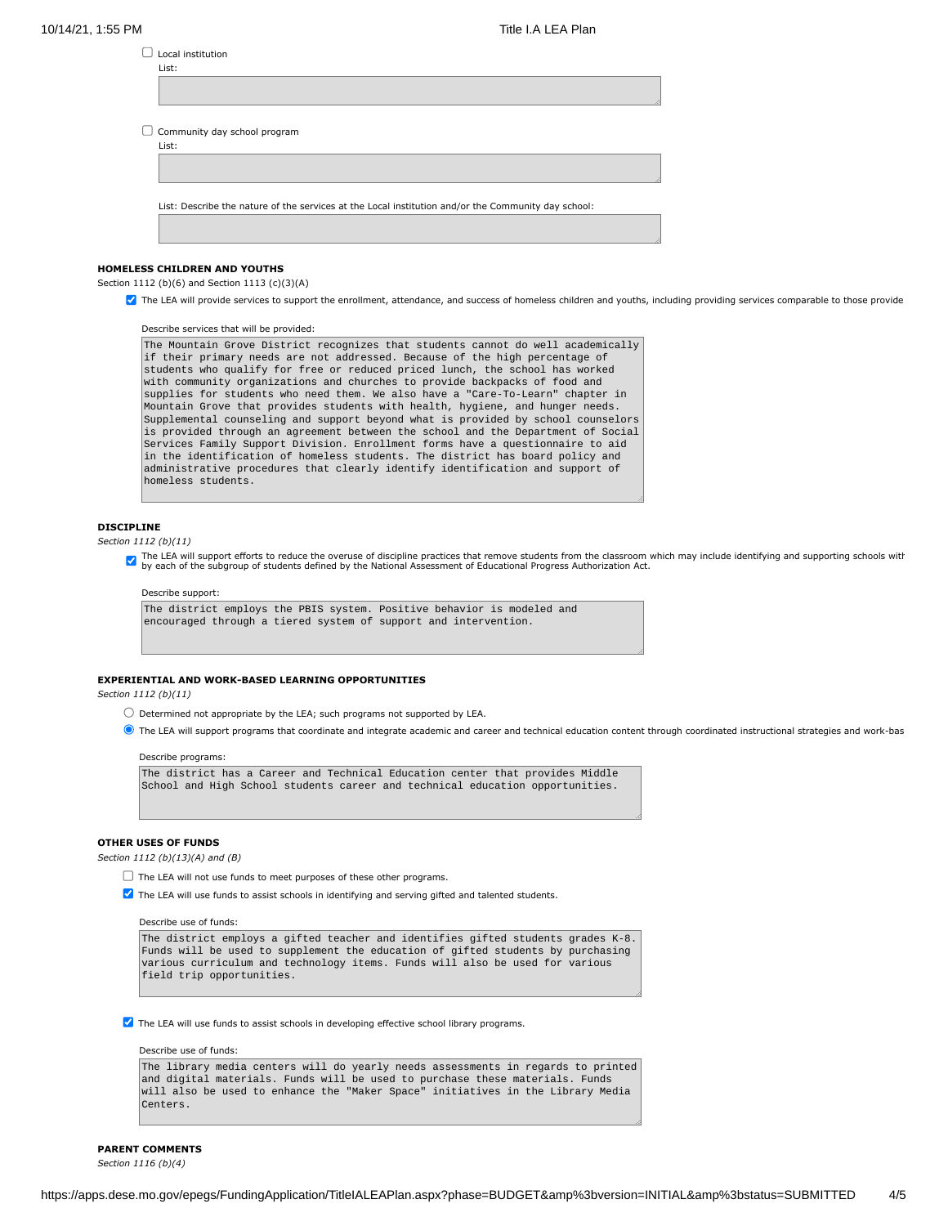| Local institution                                                                                   |  |
|-----------------------------------------------------------------------------------------------------|--|
| List:                                                                                               |  |
|                                                                                                     |  |
|                                                                                                     |  |
| Community day school program                                                                        |  |
| List:                                                                                               |  |
|                                                                                                     |  |
|                                                                                                     |  |
| List: Describe the nature of the services at the Local institution and/or the Community day school: |  |
|                                                                                                     |  |
|                                                                                                     |  |
|                                                                                                     |  |

# **HOMELESS CHILDREN AND YOUTHS**

Section 1112 (b)(6) and Section 1113 (c)(3)(A)

The LEA will provide services to support the enrollment, attendance, and success of homeless children and youths, including providing services comparable to those provide

Describe services that will be provided:

```
The Mountain Grove District recognizes that students cannot do well academically
if their primary needs are not addressed. Because of the high percentage of
students who qualify for free or reduced priced lunch, the school has worked
with community organizations and churches to provide backpacks of food and
supplies for students who need them. We also have a "Care-To-Learn" chapter in
Mountain Grove that provides students with health, hygiene, and hunger needs.
Supplemental counseling and support beyond what is provided by school counselors
is provided through an agreement between the school and the Department of Social
Services Family Support Division. Enrollment forms have a questionnaire to aid
in the identification of homeless students. The district has board policy and
administrative procedures that clearly identify identification and support of
homeless students.
```
# **DISCIPLINE**

*Section 1112 (b)(11)*

The LEA will support efforts to reduce the overuse of discipline practices that remove students from the classroom which may include identifying and supporting schools with<br>by each of the subgroup of students defined by th

#### Describe support:

The district employs the PBIS system. Positive behavior is modeled and encouraged through a tiered system of support and intervention.

# **EXPERIENTIAL AND WORK-BASED LEARNING OPPORTUNITIES**

*Section 1112 (b)(11)*

- $\bigcirc$  Determined not appropriate by the LEA; such programs not supported by LEA.
- $\bullet$  The LEA will support programs that coordinate and integrate academic and career and technical education content through coordinated instructional strategies and work-bas

#### Describe programs:

The district has a Career and Technical Education center that provides Middle School and High School students career and technical education opportunities.

### **OTHER USES OF FUNDS**

*Section 1112 (b)(13)(A) and (B)*

- $\Box$  The LEA will not use funds to meet purposes of these other programs.
- The LEA will use funds to assist schools in identifying and serving gifted and talented students.

Describe use of funds:

The district employs a gifted teacher and identifies gifted students grades K-8. Funds will be used to supplement the education of gifted students by purchasing various curriculum and technology items. Funds will also be used for various field trip opportunities.

**T** The LEA will use funds to assist schools in developing effective school library programs.

# Describe use of funds:

The library media centers will do yearly needs assessments in regards to printed and digital materials. Funds will be used to purchase these materials. Funds will also be used to enhance the "Maker Space" initiatives in the Library Media Centers.

# **PARENT COMMENTS**

*Section 1116 (b)(4)*